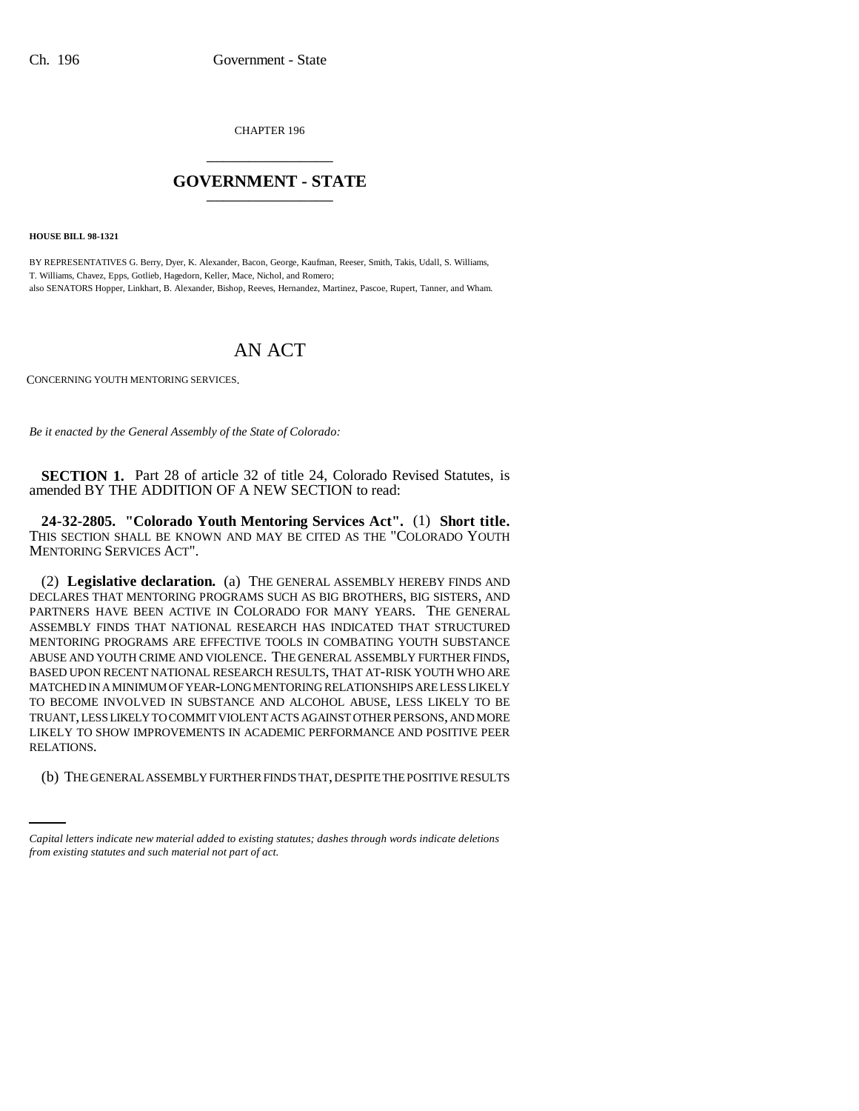CHAPTER 196 \_\_\_\_\_\_\_\_\_\_\_\_\_\_\_

## **GOVERNMENT - STATE** \_\_\_\_\_\_\_\_\_\_\_\_\_\_\_

**HOUSE BILL 98-1321**

BY REPRESENTATIVES G. Berry, Dyer, K. Alexander, Bacon, George, Kaufman, Reeser, Smith, Takis, Udall, S. Williams, T. Williams, Chavez, Epps, Gotlieb, Hagedorn, Keller, Mace, Nichol, and Romero; also SENATORS Hopper, Linkhart, B. Alexander, Bishop, Reeves, Hernandez, Martinez, Pascoe, Rupert, Tanner, and Wham.

## AN ACT

CONCERNING YOUTH MENTORING SERVICES.

*Be it enacted by the General Assembly of the State of Colorado:*

**SECTION 1.** Part 28 of article 32 of title 24, Colorado Revised Statutes, is amended BY THE ADDITION OF A NEW SECTION to read:

**24-32-2805. "Colorado Youth Mentoring Services Act".** (1) **Short title.** THIS SECTION SHALL BE KNOWN AND MAY BE CITED AS THE "COLORADO YOUTH MENTORING SERVICES ACT".

RELATIONS. (2) **Legislative declaration.** (a) THE GENERAL ASSEMBLY HEREBY FINDS AND DECLARES THAT MENTORING PROGRAMS SUCH AS BIG BROTHERS, BIG SISTERS, AND PARTNERS HAVE BEEN ACTIVE IN COLORADO FOR MANY YEARS. THE GENERAL ASSEMBLY FINDS THAT NATIONAL RESEARCH HAS INDICATED THAT STRUCTURED MENTORING PROGRAMS ARE EFFECTIVE TOOLS IN COMBATING YOUTH SUBSTANCE ABUSE AND YOUTH CRIME AND VIOLENCE. THE GENERAL ASSEMBLY FURTHER FINDS, BASED UPON RECENT NATIONAL RESEARCH RESULTS, THAT AT-RISK YOUTH WHO ARE MATCHED IN A MINIMUM OF YEAR-LONG MENTORING RELATIONSHIPS ARE LESS LIKELY TO BECOME INVOLVED IN SUBSTANCE AND ALCOHOL ABUSE, LESS LIKELY TO BE TRUANT, LESS LIKELY TO COMMIT VIOLENT ACTS AGAINST OTHER PERSONS, AND MORE LIKELY TO SHOW IMPROVEMENTS IN ACADEMIC PERFORMANCE AND POSITIVE PEER

(b) THE GENERAL ASSEMBLY FURTHER FINDS THAT, DESPITE THE POSITIVE RESULTS

*Capital letters indicate new material added to existing statutes; dashes through words indicate deletions from existing statutes and such material not part of act.*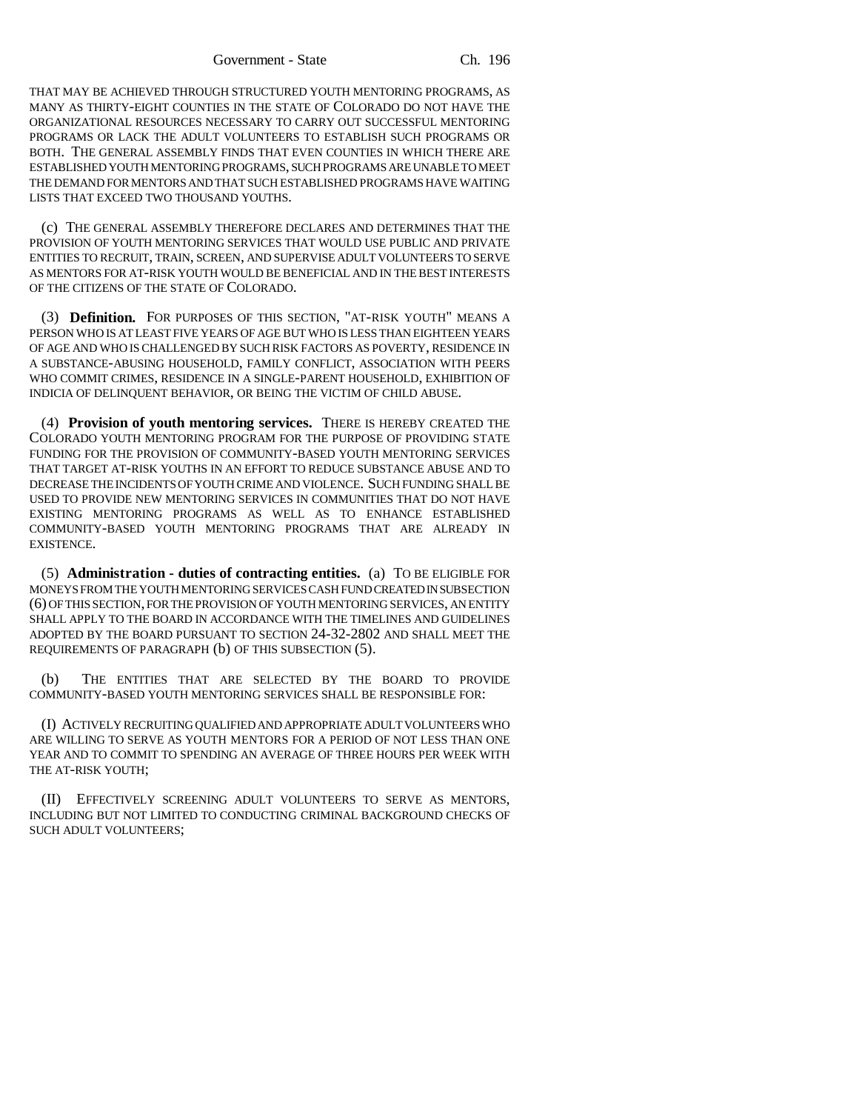THAT MAY BE ACHIEVED THROUGH STRUCTURED YOUTH MENTORING PROGRAMS, AS MANY AS THIRTY-EIGHT COUNTIES IN THE STATE OF COLORADO DO NOT HAVE THE ORGANIZATIONAL RESOURCES NECESSARY TO CARRY OUT SUCCESSFUL MENTORING PROGRAMS OR LACK THE ADULT VOLUNTEERS TO ESTABLISH SUCH PROGRAMS OR BOTH. THE GENERAL ASSEMBLY FINDS THAT EVEN COUNTIES IN WHICH THERE ARE ESTABLISHED YOUTH MENTORING PROGRAMS, SUCH PROGRAMS ARE UNABLE TO MEET THE DEMAND FOR MENTORS AND THAT SUCH ESTABLISHED PROGRAMS HAVE WAITING LISTS THAT EXCEED TWO THOUSAND YOUTHS.

(c) THE GENERAL ASSEMBLY THEREFORE DECLARES AND DETERMINES THAT THE PROVISION OF YOUTH MENTORING SERVICES THAT WOULD USE PUBLIC AND PRIVATE ENTITIES TO RECRUIT, TRAIN, SCREEN, AND SUPERVISE ADULT VOLUNTEERS TO SERVE AS MENTORS FOR AT-RISK YOUTH WOULD BE BENEFICIAL AND IN THE BEST INTERESTS OF THE CITIZENS OF THE STATE OF COLORADO.

(3) **Definition.** FOR PURPOSES OF THIS SECTION, "AT-RISK YOUTH" MEANS A PERSON WHO IS AT LEAST FIVE YEARS OF AGE BUT WHO IS LESS THAN EIGHTEEN YEARS OF AGE AND WHO IS CHALLENGED BY SUCH RISK FACTORS AS POVERTY, RESIDENCE IN A SUBSTANCE-ABUSING HOUSEHOLD, FAMILY CONFLICT, ASSOCIATION WITH PEERS WHO COMMIT CRIMES, RESIDENCE IN A SINGLE-PARENT HOUSEHOLD, EXHIBITION OF INDICIA OF DELINQUENT BEHAVIOR, OR BEING THE VICTIM OF CHILD ABUSE.

(4) **Provision of youth mentoring services.** THERE IS HEREBY CREATED THE COLORADO YOUTH MENTORING PROGRAM FOR THE PURPOSE OF PROVIDING STATE FUNDING FOR THE PROVISION OF COMMUNITY-BASED YOUTH MENTORING SERVICES THAT TARGET AT-RISK YOUTHS IN AN EFFORT TO REDUCE SUBSTANCE ABUSE AND TO DECREASE THE INCIDENTS OF YOUTH CRIME AND VIOLENCE. SUCH FUNDING SHALL BE USED TO PROVIDE NEW MENTORING SERVICES IN COMMUNITIES THAT DO NOT HAVE EXISTING MENTORING PROGRAMS AS WELL AS TO ENHANCE ESTABLISHED COMMUNITY-BASED YOUTH MENTORING PROGRAMS THAT ARE ALREADY IN EXISTENCE.

(5) **Administration - duties of contracting entities.** (a) TO BE ELIGIBLE FOR MONEYS FROM THE YOUTH MENTORING SERVICES CASH FUND CREATED IN SUBSECTION (6) OF THIS SECTION, FOR THE PROVISION OF YOUTH MENTORING SERVICES, AN ENTITY SHALL APPLY TO THE BOARD IN ACCORDANCE WITH THE TIMELINES AND GUIDELINES ADOPTED BY THE BOARD PURSUANT TO SECTION 24-32-2802 AND SHALL MEET THE REQUIREMENTS OF PARAGRAPH (b) OF THIS SUBSECTION (5).

(b) THE ENTITIES THAT ARE SELECTED BY THE BOARD TO PROVIDE COMMUNITY-BASED YOUTH MENTORING SERVICES SHALL BE RESPONSIBLE FOR:

(I) ACTIVELY RECRUITING QUALIFIED AND APPROPRIATE ADULT VOLUNTEERS WHO ARE WILLING TO SERVE AS YOUTH MENTORS FOR A PERIOD OF NOT LESS THAN ONE YEAR AND TO COMMIT TO SPENDING AN AVERAGE OF THREE HOURS PER WEEK WITH THE AT-RISK YOUTH;

(II) EFFECTIVELY SCREENING ADULT VOLUNTEERS TO SERVE AS MENTORS, INCLUDING BUT NOT LIMITED TO CONDUCTING CRIMINAL BACKGROUND CHECKS OF SUCH ADULT VOLUNTEERS;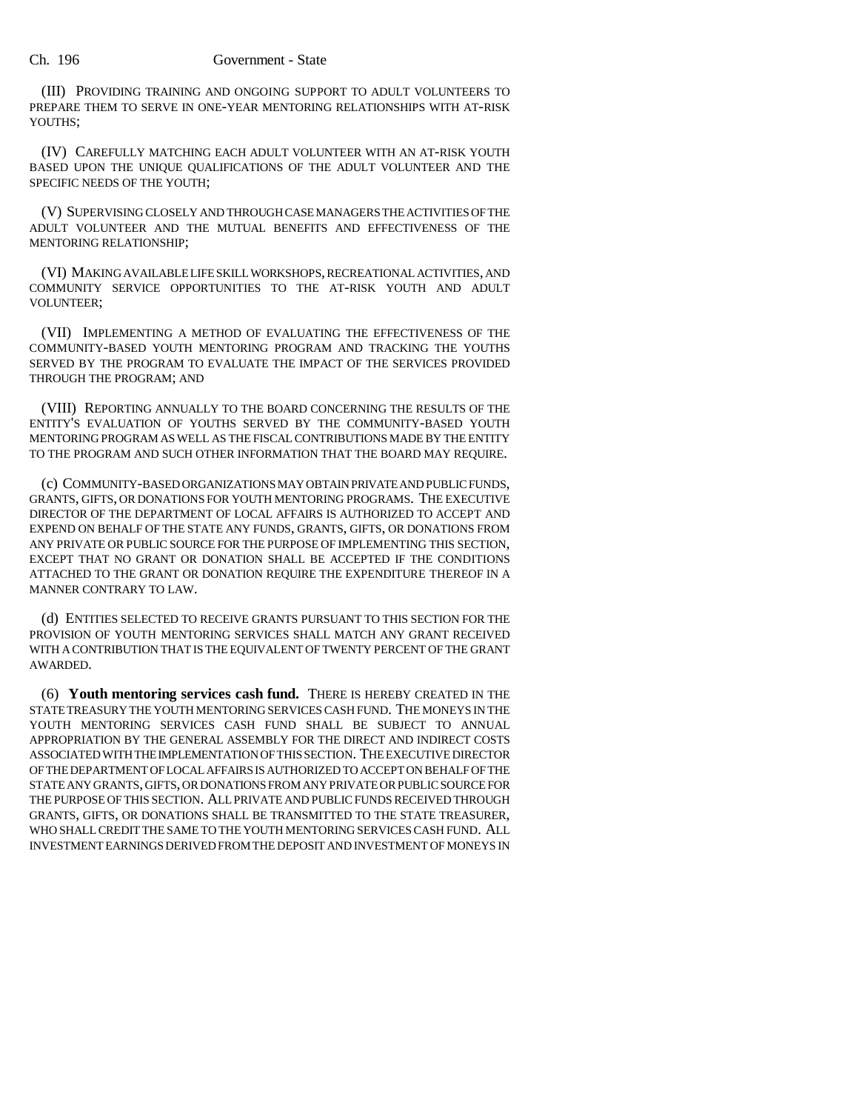(III) PROVIDING TRAINING AND ONGOING SUPPORT TO ADULT VOLUNTEERS TO PREPARE THEM TO SERVE IN ONE-YEAR MENTORING RELATIONSHIPS WITH AT-RISK YOUTHS:

(IV) CAREFULLY MATCHING EACH ADULT VOLUNTEER WITH AN AT-RISK YOUTH BASED UPON THE UNIQUE QUALIFICATIONS OF THE ADULT VOLUNTEER AND THE SPECIFIC NEEDS OF THE YOUTH;

(V) SUPERVISING CLOSELY AND THROUGH CASE MANAGERS THE ACTIVITIES OF THE ADULT VOLUNTEER AND THE MUTUAL BENEFITS AND EFFECTIVENESS OF THE MENTORING RELATIONSHIP;

(VI) MAKING AVAILABLE LIFE SKILL WORKSHOPS, RECREATIONAL ACTIVITIES, AND COMMUNITY SERVICE OPPORTUNITIES TO THE AT-RISK YOUTH AND ADULT VOLUNTEER;

(VII) IMPLEMENTING A METHOD OF EVALUATING THE EFFECTIVENESS OF THE COMMUNITY-BASED YOUTH MENTORING PROGRAM AND TRACKING THE YOUTHS SERVED BY THE PROGRAM TO EVALUATE THE IMPACT OF THE SERVICES PROVIDED THROUGH THE PROGRAM; AND

(VIII) REPORTING ANNUALLY TO THE BOARD CONCERNING THE RESULTS OF THE ENTITY'S EVALUATION OF YOUTHS SERVED BY THE COMMUNITY-BASED YOUTH MENTORING PROGRAM AS WELL AS THE FISCAL CONTRIBUTIONS MADE BY THE ENTITY TO THE PROGRAM AND SUCH OTHER INFORMATION THAT THE BOARD MAY REQUIRE.

(c) COMMUNITY-BASED ORGANIZATIONS MAY OBTAIN PRIVATE AND PUBLIC FUNDS, GRANTS, GIFTS, OR DONATIONS FOR YOUTH MENTORING PROGRAMS. THE EXECUTIVE DIRECTOR OF THE DEPARTMENT OF LOCAL AFFAIRS IS AUTHORIZED TO ACCEPT AND EXPEND ON BEHALF OF THE STATE ANY FUNDS, GRANTS, GIFTS, OR DONATIONS FROM ANY PRIVATE OR PUBLIC SOURCE FOR THE PURPOSE OF IMPLEMENTING THIS SECTION, EXCEPT THAT NO GRANT OR DONATION SHALL BE ACCEPTED IF THE CONDITIONS ATTACHED TO THE GRANT OR DONATION REQUIRE THE EXPENDITURE THEREOF IN A MANNER CONTRARY TO LAW.

(d) ENTITIES SELECTED TO RECEIVE GRANTS PURSUANT TO THIS SECTION FOR THE PROVISION OF YOUTH MENTORING SERVICES SHALL MATCH ANY GRANT RECEIVED WITH A CONTRIBUTION THAT IS THE EQUIVALENT OF TWENTY PERCENT OF THE GRANT AWARDED.

(6) **Youth mentoring services cash fund.** THERE IS HEREBY CREATED IN THE STATE TREASURY THE YOUTH MENTORING SERVICES CASH FUND. THE MONEYS IN THE YOUTH MENTORING SERVICES CASH FUND SHALL BE SUBJECT TO ANNUAL APPROPRIATION BY THE GENERAL ASSEMBLY FOR THE DIRECT AND INDIRECT COSTS ASSOCIATED WITH THE IMPLEMENTATION OF THIS SECTION. THE EXECUTIVE DIRECTOR OF THE DEPARTMENT OF LOCAL AFFAIRS IS AUTHORIZED TO ACCEPT ON BEHALF OF THE STATE ANY GRANTS, GIFTS, OR DONATIONS FROM ANY PRIVATE OR PUBLIC SOURCE FOR THE PURPOSE OF THIS SECTION. ALL PRIVATE AND PUBLIC FUNDS RECEIVED THROUGH GRANTS, GIFTS, OR DONATIONS SHALL BE TRANSMITTED TO THE STATE TREASURER, WHO SHALL CREDIT THE SAME TO THE YOUTH MENTORING SERVICES CASH FUND. ALL INVESTMENT EARNINGS DERIVED FROM THE DEPOSIT AND INVESTMENT OF MONEYS IN